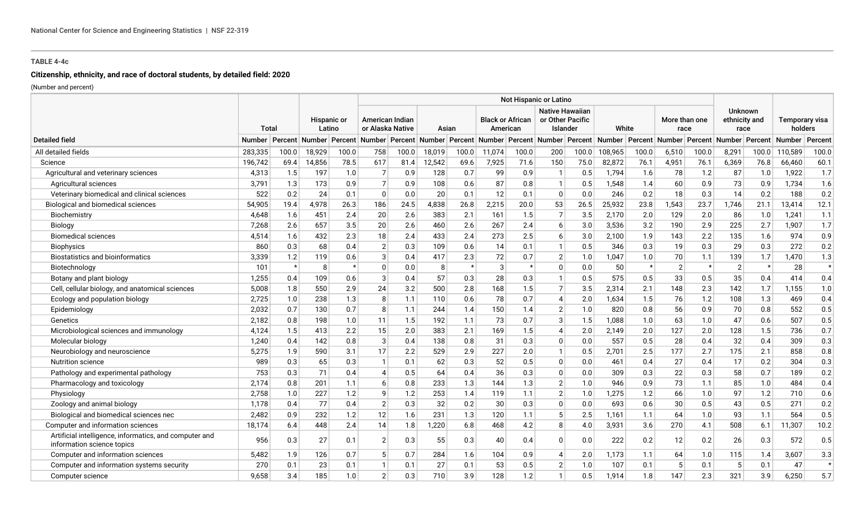# **Citizenship, ethnicity, and race of doctoral students, by detailed field: 2020**

|                                                                                      |         |         |                            |                       | Not Hispanic or Latino |                                     |        |         |        |                                     |                                                        |         |                                                                                                          |         |                       |         |                                         |         |                           |         |
|--------------------------------------------------------------------------------------|---------|---------|----------------------------|-----------------------|------------------------|-------------------------------------|--------|---------|--------|-------------------------------------|--------------------------------------------------------|---------|----------------------------------------------------------------------------------------------------------|---------|-----------------------|---------|-----------------------------------------|---------|---------------------------|---------|
|                                                                                      |         | Total   |                            | Hispanic or<br>Latino |                        | American Indian<br>or Alaska Native |        | Asian   |        | <b>Black or African</b><br>American | <b>Native Hawaiian</b><br>or Other Pacific<br>Islander |         | White                                                                                                    |         | More than one<br>race |         | <b>Unknown</b><br>ethnicity and<br>race |         | Temporary visa<br>holders |         |
| <b>Detailed field</b>                                                                | Number  |         | Percent   Number   Percent |                       |                        |                                     |        |         |        |                                     |                                                        |         | Number Percent Number Percent Number Percent Number Percent Number Percent Number Percent Number Percent |         |                       |         |                                         |         | Number                    | Percent |
| All detailed fields                                                                  | 283,335 | 100.0   | 18,929                     | 100.0                 | 758                    | 100.0                               | 18,019 | 100.0   | 11,074 | 100.0                               | 200                                                    | 100.0   | 108,965                                                                                                  | 100.0   | 6,510                 | 100.0   | 8,291                                   | 100.0   | 110,589                   | 100.0   |
| Science                                                                              | 196,742 | 69.4    | 14,856                     | 78.5                  | 617                    | 81.4                                | 12,542 | 69.6    | 7,925  | 71.6                                | 150                                                    | 75.0    | 82,872                                                                                                   | 76.1    | 4,951                 | 76.1    | 6,369                                   | 76.8    | 66,460                    | 60.1    |
| Agricultural and veterinary sciences                                                 | 4,313   | 1.5     | 197                        | 1.0                   | $\overline{7}$         | 0.9                                 | 128    | 0.7     | 99     | 0.9                                 | $\mathbf{1}$                                           | 0.5     | 1,794                                                                                                    | 1.6     | 78                    | 1.2     | 87                                      | 1.0     | 1,922                     | 1.7     |
| Agricultural sciences                                                                | 3,791   | 1.3     | 173                        | 0.9                   |                        | 0.9                                 | 108    | 0.6     | 87     | 0.8                                 | $\mathbf{1}$                                           | 0.5     | 1,548                                                                                                    | 1.4     | 60                    | 0.9     | 73                                      | 0.9     | 1,734                     | 1.6     |
| Veterinary biomedical and clinical sciences                                          | 522     | 0.2     | 24                         | 0.1                   | $\mathbf{0}$           | 0.0                                 | 20     | 0.1     | 12     | 0.1                                 | $\Omega$                                               | 0.0     | 246                                                                                                      | 0.2     | 18                    | 0.3     | 14                                      | 0.2     | 188                       | 0.2     |
| Biological and biomedical sciences                                                   | 54,905  | 19.4    | 4,978                      | 26.3                  | 186                    | 24.5                                | 4,838  | 26.8    | 2,215  | 20.0                                | 53                                                     | 26.5    | 25,932                                                                                                   | 23.8    | 1,543                 | 23.7    | 1,746                                   | 21.1    | 13,414                    | 12.1    |
| Biochemistry                                                                         | 4,648   | 1.6     | 451                        | 2.4                   | 20                     | 2.6                                 | 383    | 2.1     | 161    | 1.5                                 | $\overline{7}$                                         | 3.5     | 2,170                                                                                                    | 2.0     | 129                   | 2.0     | 86                                      | 1.0     | 1,241                     | 1.1     |
| Biology                                                                              | 7,268   | 2.6     | 657                        | 3.5                   | 20                     | 2.6                                 | 460    | 2.6     | 267    | 2.4                                 | 6                                                      | $3.0\,$ | 3,536                                                                                                    | 3.2     | 190                   | 2.9     | 225                                     | 2.7     | 1,907                     | 1.7     |
| <b>Biomedical sciences</b>                                                           | 4,514   | 1.6     | 432                        | 2.3                   | 18                     | 2.4                                 | 433    | 2.4     | 273    | 2.5                                 | 6                                                      | 3.0     | 2,100                                                                                                    | 1.9     | 143                   | 2.2     | 135                                     | 1.6     | 974                       | 0.9     |
| <b>Biophysics</b>                                                                    | 860     | 0.3     | 68                         | 0.4                   | $\overline{2}$         | 0.3                                 | 109    | 0.6     | 14     | 0.1                                 | $\mathbf{1}$                                           | 0.5     | 346                                                                                                      | 0.3     | 19                    | 0.3     | 29                                      | 0.3     | 272                       | 0.2     |
| <b>Biostatistics and bioinformatics</b>                                              | 3,339   | 1.2     | 119                        | 0.6                   | 3                      | 0.4                                 | 417    | 2.3     | 72     | 0.7                                 | $\overline{2}$                                         | 1.0     | 1,047                                                                                                    | 1.0     | 70                    | 1.1     | 139                                     | 1.7     | 1,470                     | 1.3     |
| Biotechnology                                                                        | 101     | $\star$ | 8                          | $\star$               | $\Omega$               | 0.0                                 | -8     | $\star$ | 3      | $\star$                             | $\Omega$                                               | 0.0     | 50                                                                                                       | $\star$ | $\overline{2}$        | $\star$ | $\overline{2}$                          | $\star$ | 28                        | $\star$ |
| Botany and plant biology                                                             | 1,255   | 0.4     | 109                        | 0.6                   | 3                      | 0.4                                 | 57     | 0.3     | 28     | 0.3                                 | $\mathbf{1}$                                           | 0.5     | 575                                                                                                      | 0.5     | 33                    | 0.5     | 35                                      | 0.4     | 414                       | 0.4     |
| Cell, cellular biology, and anatomical sciences                                      | 5,008   | 1.8     | 550                        | 2.9                   | 24                     | 3.2                                 | 500    | 2.8     | 168    | 1.5                                 | $\overline{7}$                                         | 3.5     | 2,314                                                                                                    | 2.1     | 148                   | 2.3     | 142                                     | 1.7     | 1.155                     | 1.0     |
| Ecology and population biology                                                       | 2,725   | 1.0     | 238                        | 1.3                   | 8                      | 1.1                                 | 110    | 0.6     | 78     | 0.7                                 | $\boldsymbol{\vartriangle}$                            | 2.0     | 1,634                                                                                                    | 1.5     | 76                    | 1.2     | 108                                     | 1.3     | 469                       | 0.4     |
| Epidemiology                                                                         | 2,032   | 0.7     | 130                        | 0.7                   | <sub>R</sub>           | 1.1                                 | 244    | 1.4     | 150    | 1.4                                 | $\overline{2}$                                         | 1.0     | 820                                                                                                      | 0.8     | 56                    | 0.9     | 70                                      | 0.8     | 552                       | 0.5     |
| Genetics                                                                             | 2,182   | 0.8     | 198                        | 1.0                   | 11                     | 1.5                                 | 192    | 1.1     | 73     | 0.7                                 | 3                                                      | 1.5     | 1,088                                                                                                    | 1.0     | 63                    | 1.0     | 47                                      | 0.6     | 507                       | 0.5     |
| Microbiological sciences and immunology                                              | 4,124   | 1.5     | 413                        | 2.2                   | 15                     | 2.0                                 | 383    | 2.1     | 169    | 1.5                                 | $\Delta$                                               | 2.0     | 2,149                                                                                                    | 2.0     | 127                   | 2.0     | 128                                     | 1.5     | 736                       | 0.7     |
| Molecular biology                                                                    | 1.240   | 0.4     | 142                        | 0.8                   | 3                      | 0.4                                 | 138    | 0.8     | 31     | 0.3                                 | $\Omega$                                               | 0.0     | 557                                                                                                      | 0.5     | 28                    | 0.4     | 32                                      | 0.4     | 309                       | 0.3     |
| Neurobiology and neuroscience                                                        | 5,275   | 1.9     | 590                        | 3.1                   | 17                     | 2.2                                 | 529    | 2.9     | 227    | 2.0                                 | $\mathbf{1}$                                           | 0.5     | 2,701                                                                                                    | 2.5     | 177                   | 2.7     | 175                                     | 2.1     | 858                       | $0.8\,$ |
| <b>Nutrition science</b>                                                             | 989     | 0.3     | 65                         | 0.3                   |                        | 0.1                                 | 62     | 0.3     | 52     | 0.5                                 | $\Omega$                                               | 0.0     | 461                                                                                                      | 0.4     | 27                    | 0.4     | 17                                      | 0.2     | 304                       | $0.3\,$ |
| Pathology and experimental pathology                                                 | 753     | 0.3     | 71                         | 0.4                   |                        | 0.5                                 | 64     | 0.4     | 36     | 0.3                                 | $\Omega$                                               | 0.0     | 309                                                                                                      | 0.3     | 22                    | 0.3     | 58                                      | 0.7     | 189                       | 0.2     |
| Pharmacology and toxicology                                                          | 2,174   | 0.8     | 201                        | 1.1                   | 6                      | 0.8                                 | 233    | 1.3     | 144    | 1.3                                 | $\overline{2}$                                         | 1.0     | 946                                                                                                      | 0.9     | 73                    | 1.1     | 85                                      | 1.0     | 484                       | 0.4     |
| Physiology                                                                           | 2,758   | 1.0     | 227                        | 1.2                   | q                      | 1.2                                 | 253    | 1.4     | 119    | 1.1                                 | $\overline{2}$                                         | 1.0     | 1,275                                                                                                    | 1.2     | 66                    | 1.0     | 97                                      | 1.2     | 710                       | 0.6     |
| Zoology and animal biology                                                           | 1,178   | 0.4     | 77                         | 0.4                   | 2                      | 0.3                                 | 32     | 0.2     | 30     | 0.3                                 | $\Omega$                                               | 0.0     | 693                                                                                                      | 0.6     | 30                    | 0.5     | 43                                      | 0.5     | 271                       | 0.2     |
| Biological and biomedical sciences nec                                               | 2,482   | 0.9     | 232                        | 1.2                   | 12                     | 1.6                                 | 231    | 1.3     | 120    | 1.1                                 |                                                        | 2.5     | 1,161                                                                                                    | 1.1     | 64                    | 1.0     | 93                                      | 1.1     | 564                       | 0.5     |
| Computer and information sciences                                                    | 18,174  | 6.4     | 448                        | 2.4                   | 14                     | 1.8                                 | 1.220  | 6.8     | 468    | 4.2                                 |                                                        | 4.0     | 3,931                                                                                                    | 3.6     | 270                   | 4.1     | 508                                     | 6.1     | 11.307                    | 10.2    |
| Artificial intelligence, informatics, and computer and<br>information science topics | 956     | 0.3     | 27                         | 0.1                   | $\overline{2}$         | 0.3                                 | 55     | 0.3     | 40     | 0.4                                 | $\Omega$                                               | 0.0     | 222                                                                                                      | 0.2     | 12                    | 0.2     | 26                                      | 0.3     | 572                       | 0.5     |
| Computer and information sciences                                                    | 5,482   | 1.9     | 126                        | 0.7                   | 5                      | 0.7                                 | 284    | 1.6     | 104    | 0.9                                 | Δ                                                      | 2.0     | 1,173                                                                                                    | 1.1     | 64                    | 1.0     | 115                                     | 1.4     | 3.607                     | 3.3     |
| Computer and information systems security                                            | 270     | 0.1     | 23                         | 0.1                   |                        | 0.1                                 | 27     | 0.1     | 53     | 0.5                                 | 2                                                      | 1.0     | 107                                                                                                      | 0.1     | 5                     | 0.1     | 5                                       | 0.1     | 47                        | $\star$ |
| Computer science                                                                     | 9.658   | 3.4     | 185                        | 1.0                   | $\mathfrak{p}$         | 0.3                                 | 710    | 3.9     | 128    | 1.2                                 |                                                        | 0.5     | 1,914                                                                                                    | 1.8     | 147                   | 2.3     | 321                                     | 3.9     | 6.250                     | 5.7     |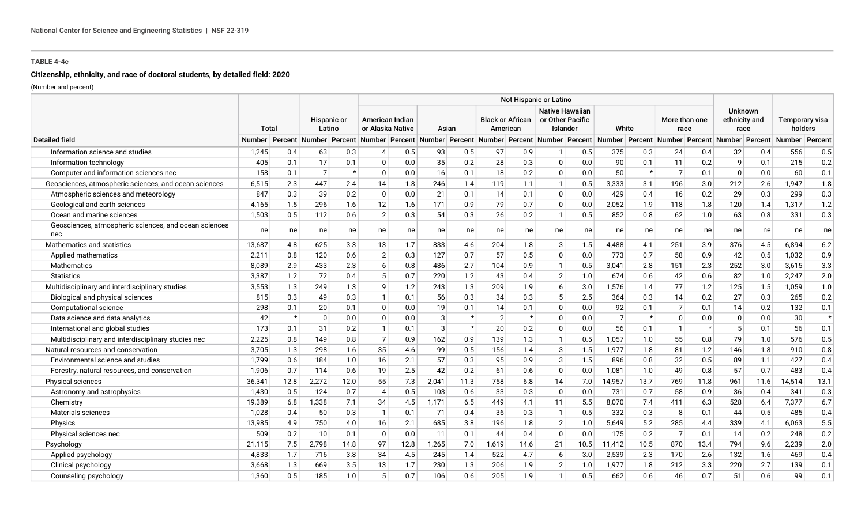# **Citizenship, ethnicity, and race of doctoral students, by detailed field: 2020**

|                                                              |               |         |                       |         | Not Hispanic or Latino |                                     |                                                                                                                                                                                                                                             |         |       |                                                        |                |         |                |                       |                |                                         |          |                           |        |         |
|--------------------------------------------------------------|---------------|---------|-----------------------|---------|------------------------|-------------------------------------|---------------------------------------------------------------------------------------------------------------------------------------------------------------------------------------------------------------------------------------------|---------|-------|--------------------------------------------------------|----------------|---------|----------------|-----------------------|----------------|-----------------------------------------|----------|---------------------------|--------|---------|
|                                                              |               | Total   | Hispanic or<br>Latino |         |                        | American Indian<br>or Alaska Native | <b>Black or African</b><br>American<br>Asian<br>Percent Number Percent Number Percent Number Percent Number Percent Number Percent Number Percent Number Percent Number Percent Number Percent Number Percent Number Percent Number Percent |         |       | <b>Native Hawaiian</b><br>or Other Pacific<br>Islander |                | White   |                | More than one<br>race |                | <b>Unknown</b><br>ethnicity and<br>race |          | Temporary visa<br>holders |        |         |
| <b>Detailed field</b>                                        | <b>Number</b> |         |                       |         |                        |                                     |                                                                                                                                                                                                                                             |         |       |                                                        |                |         |                |                       |                |                                         |          |                           |        | Percent |
| Information science and studies                              | 1,245         | 0.4     | 63                    | 0.3     |                        | 0.5                                 | 93                                                                                                                                                                                                                                          | 0.5     | 97    | 0.9                                                    |                | 0.5     | 375            | 0.3                   | 24             | 0.4                                     | 32       | 0.4                       | 556    | 0.5     |
| Information technology                                       | 405           | 0.1     | 17                    | 0.1     | $\Omega$               | 0.0                                 | 35                                                                                                                                                                                                                                          | 0.2     | 28    | 0.3                                                    | $\Omega$       | 0.0     | 90             | 0.1                   | 11             | 0.2                                     | 9        | 0.1                       | 215    | 0.2     |
| Computer and information sciences nec                        | 158           | 0.1     | $\overline{7}$        | $\star$ | $\mathbf{0}$           | 0.0                                 | 16                                                                                                                                                                                                                                          | 0.1     | 18    | 0.2                                                    | $\Omega$       | 0.0     | 50             | $\star$               | $\overline{7}$ | 0.1                                     | $\Omega$ | 0.0                       | 60     | 0.1     |
| Geosciences, atmospheric sciences, and ocean sciences        | 6,515         | 2.3     | 447                   | 2.4     | 14                     | 1.8                                 | 246                                                                                                                                                                                                                                         | 1.4     | 119   | 1.1                                                    | $\mathbf{1}$   | 0.5     | 3,333          | 3.1                   | 196            | 3.0                                     | 212      | 2.6                       | 1,947  | 1.8     |
| Atmospheric sciences and meteorology                         | 847           | 0.3     | 39                    | 0.2     | $\mathbf{0}$           | 0.0                                 | 21                                                                                                                                                                                                                                          | 0.1     | 14    | 0.1                                                    | $\Omega$       | 0.0     | 429            | 0.4                   | 16             | 0.2                                     | 29       | 0.3                       | 299    | 0.3     |
| Geological and earth sciences                                | 4,165         | 1.5     | 296                   | 1.6     | 12                     | 1.6                                 | 171                                                                                                                                                                                                                                         | 0.9     | 79    | 0.7                                                    | $\Omega$       | 0.0     | 2,052          | 1.9                   | 118            | 1.8                                     | 120      | 1.4                       | 1,317  | 1.2     |
| Ocean and marine sciences                                    | 1,503         | 0.5     | 112                   | 0.6     | $\overline{2}$         | 0.3                                 | 54                                                                                                                                                                                                                                          | 0.3     | 26    | 0.2                                                    | $\mathbf{1}$   | 0.5     | 852            | 0.8                   | 62             | 1.0                                     | 63       | 0.8                       | 331    | 0.3     |
| Geosciences, atmospheric sciences, and ocean sciences<br>nec | ne            | ne      | ne                    | ne      | ne                     | ne                                  | ne                                                                                                                                                                                                                                          | ne      | ne    | ne                                                     | ne             | ne      | ne             | ne                    | ne             | ne                                      | ne       | ne                        | ne     | ne      |
| Mathematics and statistics                                   | 13,687        | 4.8     | 625                   | 3.3     | 13                     | 1.7                                 | 833                                                                                                                                                                                                                                         | 4.6     | 204   | 1.8                                                    | 3              | 1.5     | 4,488          | 4.1                   | 251            | 3.9                                     | 376      | 4.5                       | 6,894  | 6.2     |
| Applied mathematics                                          | 2,211         | 0.8     | 120                   | 0.6     | $\overline{2}$         | 0.3                                 | 127                                                                                                                                                                                                                                         | 0.7     | 57    | 0.5                                                    | $\Omega$       | 0.0     | 773            | 0.7                   | 58             | 0.9                                     | 42       | 0.5                       | 1,032  | 0.9     |
| <b>Mathematics</b>                                           | 8,089         | 2.9     | 433                   | 2.3     | $\sqrt{2}$             | 0.8                                 | 486                                                                                                                                                                                                                                         | 2.7     | 104   | 0.9                                                    |                | 0.5     | 3,041          | 2.8                   | 151            | 2.3                                     | 252      | 3.0                       | 3,615  | 3.3     |
| <b>Statistics</b>                                            | 3,387         | 1.2     | 72                    | 0.4     |                        | 0.7                                 | 220                                                                                                                                                                                                                                         | 1.2     | 43    | 0.4                                                    | 2              | 1.0     | 674            | 0.6                   | 42             | 0.6                                     | 82       | 1.0                       | 2,247  | 2.0     |
| Multidisciplinary and interdisciplinary studies              | 3,553         | 1.3     | 249                   | 1.3     | Q                      | 1.2                                 | 243                                                                                                                                                                                                                                         | 1.3     | 209   | 1.9                                                    | 6              | 3.0     | 1,576          | 1.4                   | 77             | 1.2                                     | 125      | 1.5                       | 1,059  | $1.0$   |
| Biological and physical sciences                             | 815           | 0.3     | 49                    | 0.3     |                        | 0.1                                 | 56                                                                                                                                                                                                                                          | 0.3     | 34    | 0.3                                                    | 5              | 2.5     | 364            | 0.3                   | 14             | 0.2                                     | 27       | 0.3                       | 265    | $0.2\,$ |
| Computational science                                        | 298           | 0.1     | 20                    | 0.1     | $\Omega$               | 0.0                                 | 19                                                                                                                                                                                                                                          | 0.1     | 14    | 0.1                                                    | $\Omega$       | 0.0     | 92             | 0.1                   | $\overline{7}$ | 0.1                                     | 14       | 0.2                       | 132    | 0.1     |
| Data science and data analytics                              | 42            | $\star$ | $\mathbf{0}$          | 0.0     | $\Omega$               | 0.0                                 | 3                                                                                                                                                                                                                                           | $\star$ | 2     | $\star$                                                | $\Omega$       | 0.0     | $\overline{7}$ | $\star$               | 0              | 0.0                                     | 0        | 0.0                       | 30     | $\star$ |
| International and global studies                             | 173           | 0.1     | 31                    | 0.2     |                        | 0.1                                 | 3                                                                                                                                                                                                                                           | $\star$ | 20    | 0.2                                                    | $\Omega$       | $0.0\,$ | 56             | 0.1                   | $\mathbf{1}$   | $\star$                                 | 5        | 0.1                       | 56     | 0.1     |
| Multidisciplinary and interdisciplinary studies nec          | 2,225         | 0.8     | 149                   | 0.8     | $\overline{7}$         | 0.9                                 | 162                                                                                                                                                                                                                                         | 0.9     | 139   | 1.3                                                    | $\mathbf{1}$   | 0.5     | 1,057          | 1.0                   | 55             | 0.8                                     | 79       | 1.0                       | 576    | 0.5     |
| Natural resources and conservation                           | 3,705         | 1.3     | 298                   | 1.6     | 35                     | 4.6                                 | 99                                                                                                                                                                                                                                          | 0.5     | 156   | 1.4                                                    | 3              | 1.5     | 1,977          | 1.8                   | 81             | 1.2                                     | 146      | 1.8                       | 910    | 0.8     |
| Environmental science and studies                            | 1.799         | 0.6     | 184                   | 1.0     | 16                     | 2.1                                 | 57                                                                                                                                                                                                                                          | 0.3     | 95    | 0.9                                                    | 3              | 1.5     | 896            | 0.8                   | 32             | 0.5                                     | 89       | 1.1                       | 427    | 0.4     |
| Forestry, natural resources, and conservation                | 1.906         | 0.7     | 114                   | 0.6     | 19                     | 2.5                                 | 42                                                                                                                                                                                                                                          | 0.2     | 61    | 0.6                                                    | $\Omega$       | 0.0     | 1,081          | 1.0                   | 49             | 0.8                                     | 57       | 0.7                       | 483    | 0.4     |
| Physical sciences                                            | 36,341        | 12.8    | 2.272                 | 12.0    | 55                     | 7.3                                 | 2.041                                                                                                                                                                                                                                       | 11.3    | 758   | 6.8                                                    | 14             | 7.0     | 14,957         | 13.7                  | 769            | 11.8                                    | 961      | 11.6                      | 14.514 | 13.1    |
| Astronomy and astrophysics                                   | 1,430         | 0.5     | 124                   | 0.7     | 4                      | 0.5                                 | 103                                                                                                                                                                                                                                         | 0.6     | 33    | 0.3                                                    | $\Omega$       | 0.0     | 731            | 0.7                   | 58             | 0.9                                     | 36       | 0.4                       | 341    | 0.3     |
| Chemistry                                                    | 19,389        | 6.8     | 1,338                 | 7.1     | 34                     | 4.5                                 | 1,171                                                                                                                                                                                                                                       | 6.5     | 449   | 4.1                                                    | 11             | 5.5     | 8,070          | 7.4                   | 411            | 6.3                                     | 528      | 6.4                       | 7,377  | 6.7     |
| Materials sciences                                           | 1,028         | 0.4     | 50                    | 0.3     | -1                     | 0.1                                 | 71                                                                                                                                                                                                                                          | 0.4     | 36    | 0.3                                                    | $\mathbf{1}$   | 0.5     | 332            | 0.3                   | 8              | 0.1                                     | 44       | 0.5                       | 485    | 0.4     |
| Physics                                                      | 13,985        | 4.9     | 750                   | 4.0     | 16                     | 2.1                                 | 685                                                                                                                                                                                                                                         | 3.8     | 196   | 1.8                                                    | $\overline{2}$ | 1.0     | 5,649          | 5.2                   | 285            | 4.4                                     | 339      | 4.1                       | 6,063  | 5.5     |
| Physical sciences nec                                        | 509           | 0.2     | 10                    | 0.1     | $\mathbf{0}$           | 0.0                                 | 11                                                                                                                                                                                                                                          | 0.1     | 44    | 0.4                                                    | $\Omega$       | 0.0     | 175            | 0.2                   | $\overline{7}$ | 0.1                                     | 14       | 0.2                       | 248    | 0.2     |
| Psychology                                                   | 21,115        | 7.5     | 2.798                 | 14.8    | 97                     | 12.8                                | 1,265                                                                                                                                                                                                                                       | 7.0     | 1,619 | 14.6                                                   | 21             | 10.5    | 11,412         | 10.5                  | 870            | 13.4                                    | 794      | 9.6                       | 2.239  | 2.0     |
| Applied psychology                                           | 4,833         | 1.7     | 716                   | 3.8     | 34                     | 4.5                                 | 245                                                                                                                                                                                                                                         | 1.4     | 522   | 4.7                                                    | 6              | 3.0     | 2,539          | 2.3                   | 170            | 2.6                                     | 132      | 1.6                       | 469    | 0.4     |
| Clinical psychology                                          | 3,668         | 1.3     | 669                   | 3.5     | 13                     | 1.7                                 | 230                                                                                                                                                                                                                                         | 1.3     | 206   | 1.9                                                    | 2              | 1.0     | 1,977          | 1.8                   | 212            | 3.3                                     | 220      | 2.7                       | 139    | 0.1     |
| Counseling psychology                                        | 1.360         | 0.5     | 185                   | 1.0     |                        | 0.7                                 | 106                                                                                                                                                                                                                                         | 0.6     | 205   | 1.9                                                    |                | 0.5     | 662            | 0.6                   | 46             | 0.7                                     | 51       | 0.6                       | 99     | 0.1     |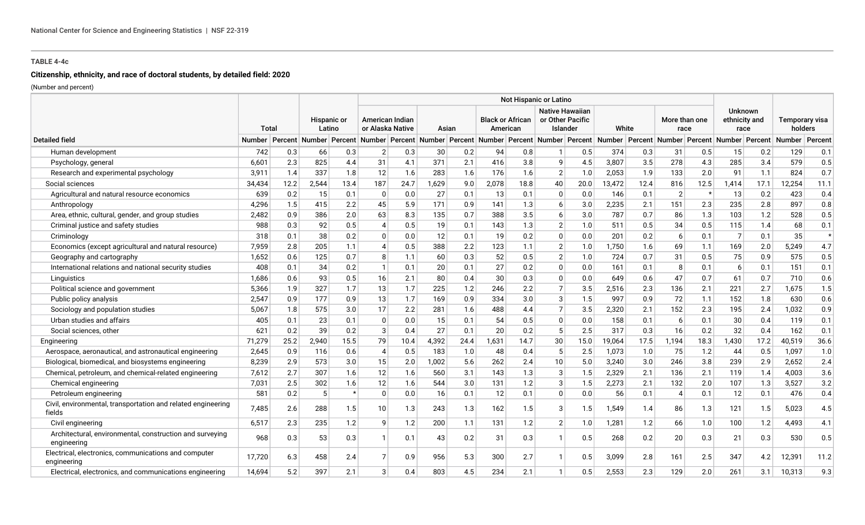# **Citizenship, ethnicity, and race of doctoral students, by detailed field: 2020**

|                                                                         |        |      |                       |         | Not Hispanic or Latino              |      |       |      |       |                                     |                                                        |      |        |      |                       |      |                                         |      |                                                                                                                                                                              |         |
|-------------------------------------------------------------------------|--------|------|-----------------------|---------|-------------------------------------|------|-------|------|-------|-------------------------------------|--------------------------------------------------------|------|--------|------|-----------------------|------|-----------------------------------------|------|------------------------------------------------------------------------------------------------------------------------------------------------------------------------------|---------|
|                                                                         | Total  |      | Hispanic or<br>Latino |         | American Indian<br>or Alaska Native |      | Asian |      |       | <b>Black or African</b><br>American | <b>Native Hawaiian</b><br>or Other Pacific<br>Islander |      | White  |      | More than one<br>race |      | <b>Unknown</b><br>ethnicity and<br>race |      | Temporary visa<br>holders                                                                                                                                                    |         |
| <b>Detailed field</b>                                                   | Number |      |                       |         |                                     |      |       |      |       |                                     |                                                        |      |        |      |                       |      |                                         |      | Percent Number Percent Number Percent Number Percent Number Percent Number Percent Number Percent Number Percent Number Percent Number Percent Number Percent Number Percent |         |
| Human development                                                       | 742    | 0.3  | 66                    | 0.3     | 2 <sup>1</sup>                      | 0.3  | 30    | 0.2  | 94    | 0.8                                 |                                                        | 0.5  | 374    | 0.3  | 31                    | 0.5  | 15                                      | 0.2  | 129                                                                                                                                                                          | 0.1     |
| Psychology, general                                                     | 6,601  | 2.3  | 825                   | 4.4     | 31                                  | 4.1  | 371   | 2.1  | 416   | 3.8                                 | q                                                      | 4.5  | 3,807  | 3.5  | 278                   | 4.3  | 285                                     | 3.4  | 579                                                                                                                                                                          | 0.5     |
| Research and experimental psychology                                    | 3,911  | 1.4  | 337                   | 1.8     | 12                                  | 1.6  | 283   | 1.6  | 176   | 1.6                                 | $\overline{2}$                                         | 1.0  | 2,053  | 1.9  | 133                   | 2.0  | 91                                      | 1.1  | 824                                                                                                                                                                          | 0.7     |
| Social sciences                                                         | 34,434 | 12.2 | 2,544                 | 13.4    | 187                                 | 24.7 | 1,629 | 9.0  | 2,078 | 18.8                                | 40                                                     | 20.0 | 13,472 | 12.4 | 816                   | 12.5 | 1,414                                   | 17.1 | 12,254                                                                                                                                                                       | 11.1    |
| Agricultural and natural resource economics                             | 639    | 0.2  | 15                    | 0.1     | $\Omega$                            | 0.0  | 27    | 0.1  | 13    | 0.1                                 | 0                                                      | 0.0  | 146    | 0.1  | $\overline{2}$        |      | 13                                      | 0.2  | 423                                                                                                                                                                          | 0.4     |
| Anthropology                                                            | 4,296  | 1.5  | 415                   | 2.2     | 45                                  | 5.9  | 171   | 0.9  | 141   | 1.3                                 | 6                                                      | 3.0  | 2,235  | 2.1  | 151                   | 2.3  | 235                                     | 2.8  | 897                                                                                                                                                                          | 0.8     |
| Area, ethnic, cultural, gender, and group studies                       | 2,482  | 0.9  | 386                   | 2.0     | 63                                  | 8.3  | 135   | 0.7  | 388   | 3.5                                 | 6                                                      | 3.0  | 787    | 0.7  | 86                    | 1.3  | 103                                     | 1.2  | 528                                                                                                                                                                          | 0.5     |
| Criminal justice and safety studies                                     | 988    | 0.3  | 92                    | 0.5     |                                     | 0.5  | 19    | 0.1  | 143   | 1.3                                 | $\overline{2}$                                         | 1.0  | 511    | 0.5  | 34                    | 0.5  | 115                                     | 1.4  | 68                                                                                                                                                                           | 0.1     |
| Criminology                                                             | 318    | 0.1  | 38                    | 0.2     | $\Omega$                            | 0.0  | 12    | 0.1  | 19    | 0.2                                 | $\Omega$                                               | 0.0  | 201    | 0.2  | 6                     | 0.1  | $\overline{7}$                          | 0.1  | 35                                                                                                                                                                           | $\star$ |
| Economics (except agricultural and natural resource)                    | 7,959  | 2.8  | 205                   | 1.1     |                                     | 0.5  | 388   | 2.2  | 123   | 1.1                                 | $\overline{2}$                                         | 1.0  | 1,750  | 1.6  | 69                    | 1.1  | 169                                     | 2.0  | 5,249                                                                                                                                                                        | 4.7     |
| Geography and cartography                                               | 1,652  | 0.6  | 125                   | 0.7     | 8                                   | 1.1  | 60    | 0.3  | 52    | 0.5                                 | $\overline{2}$                                         | 1.0  | 724    | 0.7  | 31                    | 0.5  | 75                                      | 0.9  | 575                                                                                                                                                                          | 0.5     |
| International relations and national security studies                   | 408    | 0.1  | 34                    | 0.2     | $\mathbf{1}$                        | 0.1  | 20    | 0.1  | 27    | 0.2                                 | $\Omega$                                               | 0.0  | 161    | 0.1  | 8                     | 0.1  | 6                                       | 0.1  | 151                                                                                                                                                                          | 0.1     |
| Linguistics                                                             | 1,686  | 0.6  | 93                    | 0.5     | 16                                  | 2.1  | 80    | 0.4  | 30    | 0.3                                 | $\Omega$                                               | 0.0  | 649    | 0.6  | 47                    | 0.7  | 61                                      | 0.7  | 710                                                                                                                                                                          | 0.6     |
| Political science and government                                        | 5,366  | 1.9  | 327                   | 1.7     | 13                                  | 1.7  | 225   | 1.2  | 246   | 2.2                                 | $\overline{7}$                                         | 3.5  | 2,516  | 2.3  | 136                   | 2.1  | 221                                     | 2.7  | 1,675                                                                                                                                                                        | 1.5     |
| Public policy analysis                                                  | 2,547  | 0.9  | 177                   | 0.9     | 13                                  | 1.7  | 169   | 0.9  | 334   | 3.0                                 | 3                                                      | 1.5  | 997    | 0.9  | 72                    | 1.1  | 152                                     | 1.8  | 630                                                                                                                                                                          | 0.6     |
| Sociology and population studies                                        | 5,067  | 1.8  | 575                   | 3.0     | 17                                  | 2.2  | 281   | 1.6  | 488   | 4.4                                 |                                                        | 3.5  | 2,320  | 2.1  | 152                   | 2.3  | 195                                     | 2.4  | 1,032                                                                                                                                                                        | 0.9     |
| Urban studies and affairs                                               | 405    | 0.1  | 23                    | 0.1     | $\Omega$                            | 0.0  | 15    | 0.1  | 54    | 0.5                                 | $\Omega$                                               | 0.0  | 158    | 0.1  | 6                     | 0.1  | 30                                      | 0.4  | 119                                                                                                                                                                          | 0.1     |
| Social sciences, other                                                  | 621    | 0.2  | 39                    | 0.2     | 3                                   | 0.4  | 27    | 0.1  | 20    | 0.2                                 | 5                                                      | 2.5  | 317    | 0.3  | 16                    | 0.2  | 32                                      | 0.4  | 162                                                                                                                                                                          | 0.1     |
| Engineering                                                             | 71,279 | 25.2 | 2,940                 | 15.5    | 79                                  | 10.4 | 4,392 | 24.4 | 1,631 | 14.7                                | 30                                                     | 15.0 | 19,064 | 17.5 | 1,194                 | 18.3 | 1,430                                   | 17.2 | 40,519                                                                                                                                                                       | 36.6    |
| Aerospace, aeronautical, and astronautical engineering                  | 2,645  | 0.9  | 116                   | 0.6     | 4                                   | 0.5  | 183   | 1.0  | 48    | 0.4                                 | -5                                                     | 2.5  | 1,073  | 1.0  | 75                    | 1.2  | 44                                      | 0.5  | 1,097                                                                                                                                                                        | 1.0     |
| Biological, biomedical, and biosystems engineering                      | 8,239  | 2.9  | 573                   | 3.0     | 15                                  | 2.0  | 1,002 | 5.6  | 262   | 2.4                                 | 10                                                     | 5.0  | 3,240  | 3.0  | 246                   | 3.8  | 239                                     | 2.9  | 2,652                                                                                                                                                                        | 2.4     |
| Chemical, petroleum, and chemical-related engineering                   | 7,612  | 2.7  | 307                   | 1.6     | 12                                  | 1.6  | 560   | 3.1  | 143   | 1.3                                 | 3                                                      | 1.5  | 2,329  | 2.1  | 136                   | 2.1  | 119                                     | 1.4  | 4,003                                                                                                                                                                        | 3.6     |
| Chemical engineering                                                    | 7,031  | 2.5  | 302                   | 1.6     | 12                                  | 1.6  | 544   | 3.0  | 131   | 1.2                                 | 3                                                      | 1.5  | 2,273  | 2.1  | 132                   | 2.0  | 107                                     | 1.3  | 3,527                                                                                                                                                                        | 3.2     |
| Petroleum engineering                                                   | 581    | 0.2  | 5                     | $\star$ | $\mathbf{0}$                        | 0.0  | 16    | 0.1  | 12    | 0.1                                 | $\mathbf{0}$                                           | 0.0  | 56     | 0.1  | 4                     | 0.1  | 12                                      | 0.1  | 476                                                                                                                                                                          | 0.4     |
| Civil, environmental, transportation and related engineering<br>fields  | 7,485  | 2.6  | 288                   | 1.5     | 10                                  | 1.3  | 243   | 1.3  | 162   | 1.5                                 | 3                                                      | 1.5  | 1,549  | 1.4  | 86                    | 1.3  | 121                                     | 1.5  | 5,023                                                                                                                                                                        | 4.5     |
| Civil engineering                                                       | 6,517  | 2.3  | 235                   | 1.2     | 9                                   | 1.2  | 200   | 1.1  | 131   | 1.2                                 | $\overline{2}$                                         | 1.0  | 1,281  | 1.2  | 66                    | 1.0  | 100                                     | 1.2  | 4,493                                                                                                                                                                        | 4.1     |
| Architectural, environmental, construction and surveying<br>engineering | 968    | 0.3  | 53                    | 0.3     |                                     | 0.1  | 43    | 0.2  | 31    | 0.3                                 |                                                        | 0.5  | 268    | 0.2  | 20                    | 0.3  | 21                                      | 0.3  | 530                                                                                                                                                                          | 0.5     |
| Electrical, electronics, communications and computer<br>engineering     | 17,720 | 6.3  | 458                   | 2.4     |                                     | 0.9  | 956   | 5.3  | 300   | 2.7                                 |                                                        | 0.5  | 3,099  | 2.8  | 161                   | 2.5  | 347                                     | 4.2  | 12,391                                                                                                                                                                       | 11.2    |
| Electrical, electronics, and communications engineering                 | 14,694 | 5.2  | 397                   | 2.1     | 3                                   | 0.4  | 803   | 4.5  | 234   | 2.1                                 |                                                        | 0.5  | 2,553  | 2.3  | 129                   | 2.0  | 261                                     | 3.1  | 10,313                                                                                                                                                                       | 9.3     |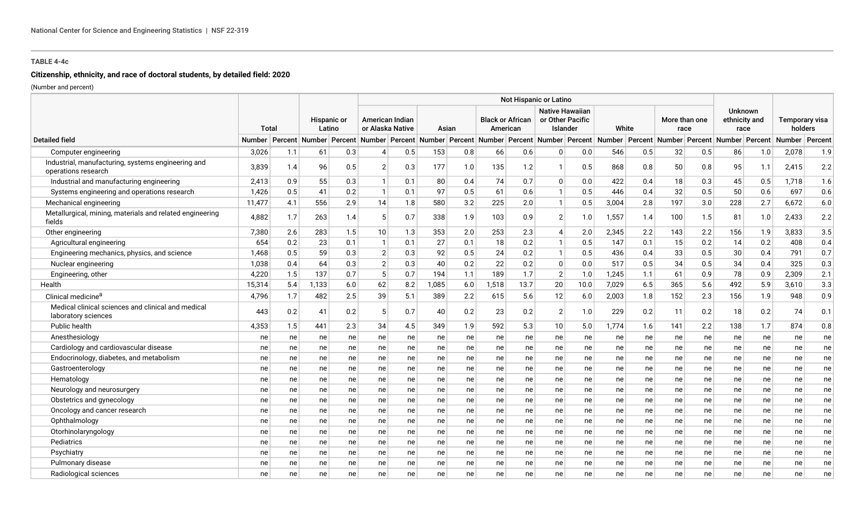# **Citizenship, ethnicity, and race of doctoral students, by detailed field: 2020**

|                                                                           |               |              |       |                              |                |                                     |       |       |       |                                     | Not Hispanic or Latino                                                                                                                         |                                                        |       |     |                       |     |                                         |     |                           |     |
|---------------------------------------------------------------------------|---------------|--------------|-------|------------------------------|----------------|-------------------------------------|-------|-------|-------|-------------------------------------|------------------------------------------------------------------------------------------------------------------------------------------------|--------------------------------------------------------|-------|-----|-----------------------|-----|-----------------------------------------|-----|---------------------------|-----|
|                                                                           |               | <b>Total</b> |       | <b>Hispanic or</b><br>Latino |                | American Indian<br>or Alaska Native |       | Asian |       | <b>Black or African</b><br>American |                                                                                                                                                | <b>Native Hawaiian</b><br>or Other Pacific<br>Islander | White |     | More than one<br>race |     | <b>Unknown</b><br>ethnicity and<br>race |     | Temporary visa<br>holders |     |
| <b>Detailed field</b>                                                     | <b>Number</b> |              |       |                              |                |                                     |       |       |       |                                     | Percent Number Percent Number Percent Number Percent Number Percent Number Percent Number Percent Number Percent Number Percent Number Percent |                                                        |       |     |                       |     |                                         |     | Number Percent            |     |
| Computer engineering                                                      | 3,026         | 1.1          | 61    | 0.3                          |                | 0.5                                 | 153   | 0.8   | 66    | 0.6                                 | $\Omega$                                                                                                                                       | 0.0                                                    | 546   | 0.5 | 32                    | 0.5 | 86                                      | 1.0 | 2,078                     | 1.9 |
| Industrial, manufacturing, systems engineering and<br>operations research | 3,839         | 1.4          | 96    | 0.5                          | 2 <sup>1</sup> | 0.3                                 | 177   | 1.0   | 135   | 1.2                                 |                                                                                                                                                | 0.5                                                    | 868   | 0.8 | 50                    | 0.8 | 95                                      | 1.1 | 2,415                     | 2.2 |
| Industrial and manufacturing engineering                                  | 2,413         | 0.9          | 55    | 0.3                          |                | 0.1                                 | 80    | 0.4   | 74    | 0.7                                 | $\mathbf{0}$                                                                                                                                   | $0.0\,$                                                | 422   | 0.4 | 18                    | 0.3 | 45                                      | 0.5 | 1,718                     | 1.6 |
| Systems engineering and operations research                               | 1,426         | 0.5          | 41    | 0.2                          |                | 0.1                                 | 97    | 0.5   | 61    | 0.6                                 |                                                                                                                                                | 0.5                                                    | 446   | 0.4 | 32                    | 0.5 | 50                                      | 0.6 | 697                       | 0.6 |
| Mechanical engineering                                                    | 11,477        | 4.1          | 556   | 2.9                          | 14             | 1.8                                 | 580   | 3.2   | 225   | 2.0                                 | $\mathbf{1}$                                                                                                                                   | 0.5                                                    | 3,004 | 2.8 | 197                   | 3.0 | 228                                     | 2.7 | 6,672                     | 6.0 |
| Metallurgical, mining, materials and related engineering<br>fields        | 4,882         | 1.7          | 263   | 1.4                          | 5              | 0.7                                 | 338   | 1.9   | 103   | 0.9                                 | 2                                                                                                                                              | 1.0                                                    | 1,557 | 1.4 | 100                   | 1.5 | 81                                      | 1.0 | 2,433                     | 2.2 |
| Other engineering                                                         | 7,380         | 2.6          | 283   | 1.5                          | 10             | 1.3                                 | 353   | 2.0   | 253   | 2.3                                 | $\boldsymbol{\varDelta}$                                                                                                                       | 2.0                                                    | 2,345 | 2.2 | 143                   | 2.2 | 156                                     | 1.9 | 3,833                     | 3.5 |
| Agricultural engineering                                                  | 654           | 0.2          | 23    | 0.1                          | -1             | 0.1                                 | 27    | 0.1   | 18    | 0.2                                 | $\mathbf{1}$                                                                                                                                   | 0.5                                                    | 147   | 0.1 | 15                    | 0.2 | 14                                      | 0.2 | 408                       | 0.4 |
| Engineering mechanics, physics, and science                               | 1,468         | 0.5          | 59    | 0.3                          | $\overline{2}$ | 0.3                                 | 92    | 0.5   | 24    | 0.2                                 | $\mathbf{1}$                                                                                                                                   | 0.5                                                    | 436   | 0.4 | 33                    | 0.5 | 30                                      | 0.4 | 791                       | 0.7 |
| Nuclear engineering                                                       | 1,038         | 0.4          | 64    | 0.3                          | $\overline{2}$ | 0.3                                 | 40    | 0.2   | 22    | 0.2                                 | $\Omega$                                                                                                                                       | $0.0\,$                                                | 517   | 0.5 | 34                    | 0.5 | 34                                      | 0.4 | 325                       | 0.3 |
| Engineering, other                                                        | 4,220         | 1.5          | 137   | 0.7                          | 5              | 0.7                                 | 194   | 1.1   | 189   | 1.7                                 | $\overline{2}$                                                                                                                                 | 1.0                                                    | 1,245 | 1.1 | 61                    | 0.9 | 78                                      | 0.9 | 2,309                     | 2.1 |
| Health                                                                    | 15,314        | 5.4          | 1,133 | 6.0                          | 62             | 8.2                                 | 1,085 | 6.0   | 1,518 | 13.7                                | 20                                                                                                                                             | 10.0                                                   | 7,029 | 6.5 | 365                   | 5.6 | 492                                     | 5.9 | 3,610                     | 3.3 |
| Clinical medicine <sup>a</sup>                                            | 4,796         | 1.7          | 482   | 2.5                          | 39             | 5.1                                 | 389   | 2.2   | 615   | 5.6                                 | 12                                                                                                                                             | 6.0                                                    | 2,003 | 1.8 | 152                   | 2.3 | 156                                     | 1.9 | 948                       | 0.9 |
| Medical clinical sciences and clinical and medical<br>laboratory sciences | 443           | 0.2          | 41    | 0.2                          | 5              | 0.7                                 | 40    | 0.2   | 23    | 0.2                                 | $\overline{2}$                                                                                                                                 | 1.0                                                    | 229   | 0.2 | 11                    | 0.2 | 18                                      | 0.2 | 74                        | 0.1 |
| Public health                                                             | 4,353         | 1.5          | 441   | 2.3                          | 34             | 4.5                                 | 349   | 1.9   | 592   | 5.3                                 | 10                                                                                                                                             | 5.0                                                    | 1,774 | 1.6 | 141                   | 2.2 | 138                                     | 1.7 | 874                       | 0.8 |
| Anesthesiology                                                            | ne            | ne           | ne    | ne                           | ne             | ne                                  | ne    | ne    | ne    | ne                                  | ne                                                                                                                                             | ne                                                     | ne    | ne  | ne                    | ne  | ne                                      | ne  | ne                        | ne  |
| Cardiology and cardiovascular disease                                     | ne            | ne           | ne    | ne                           | ne             | ne                                  | ne    | ne    | ne    | ne                                  | ne                                                                                                                                             | ne                                                     | ne    | ne  | ne                    | ne  | ne                                      | ne  | ne                        | ne  |
| Endocrinology, diabetes, and metabolism                                   | ne            | ne           | ne    | ne                           | ne             | ne                                  | ne    | ne    | ne    | ne                                  | ne                                                                                                                                             | ne                                                     | ne    | ne  | ne                    | ne  | ne                                      | ne  | ne                        | ne  |
| Gastroenterology                                                          | ne            | ne           | ne    | ne                           | ne             | ne                                  | ne    | ne    | ne    | ne                                  | ne                                                                                                                                             | ne                                                     | ne    | ne  | ne                    | ne  | ne                                      | ne  | ne                        | ne  |
| Hematology                                                                | ne            | ne           | ne    | ne                           | ne             | ne                                  | ne    | ne    | ne    | ne                                  | ne                                                                                                                                             | ne                                                     | ne    | ne  | ne                    | ne  | ne                                      | ne  | ne                        | ne  |
| Neurology and neurosurgery                                                | ne            | ne           | ne    | ne                           | ne             | ne                                  | ne    | ne    | ne    | ne                                  | ne                                                                                                                                             | ne                                                     | ne    | ne  | ne                    | ne  | ne                                      | ne  | ne                        | ne  |
| Obstetrics and gynecology                                                 | ne            | ne           | ne    | ne                           | ne             | ne                                  | ne    | ne    | ne    | ne                                  | ne                                                                                                                                             | ne                                                     | ne    | ne  | ne                    | ne  | ne                                      | ne  | ne                        | ne  |
| Oncology and cancer research                                              | ne            | ne           | ne    | ne                           | ne             | ne                                  | ne    | ne    | ne    | ne                                  | ne                                                                                                                                             | ne                                                     | ne    | ne  | ne                    | ne  | ne                                      | ne  | ne                        | ne  |
| Ophthalmology                                                             | ne            | ne           | ne    | ne                           | ne             | ne                                  | ne    | ne    | ne    | ne                                  | ne                                                                                                                                             | ne                                                     | ne    | ne  | ne                    | ne  | ne                                      | ne  | ne                        | ne  |
| Otorhinolaryngology                                                       | ne            | ne           | ne    | ne                           | ne             | ne                                  | ne    | ne    | ne    | ne                                  | ne                                                                                                                                             | ne                                                     | ne    | ne  | ne                    | ne  | ne                                      | ne  | ne                        | ne  |
| Pediatrics                                                                | ne            | ne           | ne    | ne                           | ne             | ne                                  | ne    | ne    | ne    | ne                                  | ne                                                                                                                                             | ne                                                     | ne    | ne  | ne                    | ne  | ne                                      | ne  | ne                        | ne  |
| Psychiatry                                                                | ne            | ne           | ne    | ne                           | ne             | ne                                  | ne    | ne    | ne    | ne                                  | ne                                                                                                                                             | ne                                                     | ne    | ne  | ne                    | ne  | ne                                      | ne  | ne                        | ne  |
| Pulmonary disease                                                         | ne            | ne           | ne    | ne                           | ne             | ne                                  | ne    | ne    | ne    | ne                                  | ne                                                                                                                                             | ne                                                     | ne    | ne  | ne                    | ne  | ne                                      | ne  | ne                        | ne  |
| Radiological sciences                                                     | ne            | ne           | ne    | ne                           | ne             | ne                                  | ne    | ne    | ne    | ne                                  | ne                                                                                                                                             | ne                                                     | ne    | ne  | ne                    | ne  | ne                                      | ne  | ne                        | ne  |